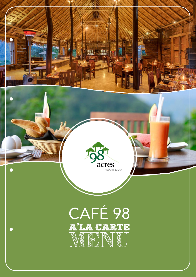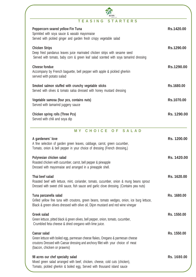| <b>STARTERS</b><br>TEASING                                                                                                                                                                                                 |             |
|----------------------------------------------------------------------------------------------------------------------------------------------------------------------------------------------------------------------------|-------------|
| Peppercorn seared yellow Fin Tuna<br>Sprinkled with soya sauce & wasabi mayonnaise<br>Served with pickled ginger and garden fresh crispy vegetable salad                                                                   | Rs.1420.00  |
| <b>Chicken Strips</b><br>Deep fried pandanus leaves juice marinated chicken strips with sesame seed<br>Served with tomato, baby corn & green leaf salad scented with soya tamarind dressing                                | Rs.1290.00  |
| <b>Cheese fondue</b><br>Accompany by French baguette, bell pepper with apple & pickled gherkin<br>served with potato salad                                                                                                 | Rs.1290.00  |
| Smoked salmon stuffed with crunchy vegetable sticks<br>Served with olives & tomato salsa dressed with honey mustard dressing                                                                                               | Rs.1680.00  |
| Vegetable samosa (four pcs, contains nuts)<br>Served with tamarind juggery sauce                                                                                                                                           | Rs.1070.00  |
| <b>Chicken spring rolls (Three Pcs)</b><br>Served with chili and soya dip                                                                                                                                                  | Rs. 1290.00 |
| CHOICE OF<br>SALAD<br>M Y                                                                                                                                                                                                  |             |
| A gardeners' love<br>A fine selection of garden green leaves, cabbage, carrot, green cucumber,<br>Tomato, onion & bell pepper in your choice of dressing (French dressing,)                                                | Rs. 1200.00 |
| Polynesian chicken salad<br>Roasted chicken with cucumber, carrot, bell pepper & pineapple<br>Dressed with mayonnaise and arranged in a pineapple shell.                                                                   | Rs. 1420.00 |
| Thai beef salad<br>Roasted beef with lettuce, mint, coriander, tomato, cucumber, onion & mung beans sprout<br>Dressed with sweet chili sauce, fish sauce and garlic clove dressing. (Contains pea nuts)                    | Rs. 1620.00 |
| Tuna panzanella salad<br>Grilled yellow fine tuna with croutons, green beans, tomato wedges, onion, ice burg lettuce,<br>Black & green olives dressed with olive oil, Dijon mustard and red wine vinegar                   | Rs. 1680.00 |
| <b>Greek salad</b><br>Green lettuce, pitted black & green olives, bell pepper, onion, tomato, cucumber,<br>Crumbled feta cheese & dried oregano with lime juice.                                                           | Rs. 1550.00 |
| <b>Caesar salad</b><br>Green lettuce with boiled egg, parmesan cheese flakes, Oregano & parmesan cheese<br>croutons Dressed with Caesar dressing and anchovy fillet with your choice of meat<br>(bacon, chicken or prawns) | Rs. 1550.00 |
| 98 acres our chef specialty salad<br>Mixed green salad arranged with beef, chicken, cheese, cold cuts (chicken),<br>Tomato, pickled gherkin & boiled egg, Served with thousand island sauce                                | Rs. 1680.00 |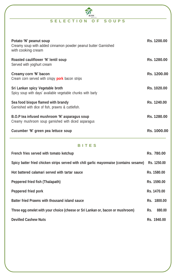# **S E L E C T I O N O F S O U P S**

| Potato 'N' peanut soup<br>Creamy soup with added cinnamon powder peanut butter Garnished<br>with cooking cream | <b>Rs. 1200.00</b> |
|----------------------------------------------------------------------------------------------------------------|--------------------|
| Roasted cauliflower 'N' lentil soup<br>Served with yoghurt cream                                               | Rs. 1280.00        |
| Creamy corn 'N' bacon<br>Cream corn served with crispy <b>pork</b> bacon strips                                | Rs. 1200.00        |
| Sri Lankan spicy Vegetable broth<br>Spicy soup with days' available vegetable chunks with barly                | Rs. 1020.00        |
| Sea food bisque flamed with brandy<br>Garnished with dice of fish, prawns & cuttlefish.                        | Rs. 1240.00        |
| B.O.P tea infused mushroom 'N' asparagus soup<br>Creamy mushroom soup garnished with diced asparagus           | Rs. 1280.00        |
| Cucumber 'N' green pea lettuce soup                                                                            | Rs. 1000.00        |

#### **B I T E S**

| French fries served with tomato ketchup                                                 | Rs. 780.00    |
|-----------------------------------------------------------------------------------------|---------------|
| Spicy batter fried chicken strips served with chili garlic mayonnaise (contains sesame) | Rs. 1250.00   |
| Hot battered calamari served with tartar sauce                                          | Rs. 1580.00   |
| Peppered fried fish (Thalapath)                                                         | Rs. 1590.00   |
| <b>Peppered fried pork</b>                                                              | Rs. 1470.00   |
| Batter fried Prawns with thousand island sauce                                          | Rs. 1800.00   |
| Three egg omelet with your choice (cheese or Sri Lankan or, bacon or mushroom)          | 880,00<br>Rs. |
| <b>Devilled Cashew Nuts</b>                                                             | Rs. 1940.00   |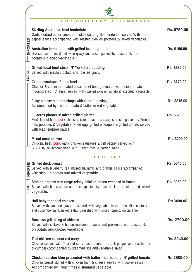| <b>IMPORTED</b> |                 | <b>RECOMMENDS</b><br><b>BUTCHERY</b><br>OUR                                                                                                                                                                                                       |                   |
|-----------------|-----------------|---------------------------------------------------------------------------------------------------------------------------------------------------------------------------------------------------------------------------------------------------|-------------------|
|                 |                 | <b>Sizzling Australian beef tenderloin</b><br>Garlic herbed butter smeared middle cut of grilled tenderloin served With<br>pepper sauce accompanied with roasted skin on potatoes & mixed vegetables.                                             | Rs. 6750.00       |
|                 |                 | Australian lamb cutlet with grilled ice berg lettuce<br>Dressed with mint & red wine gravy and accompanied by roasted skin on<br>potato & glazed vegetable.                                                                                       | Rs. 9190.00       |
|                 | LOCAL           | Grilled local beef steak 'N' Yorkshire pudding<br>Served with mashed potato and roasted gravy.                                                                                                                                                    | Rs. 3580.00       |
|                 |                 | <b>Gratin escalope of local beef</b><br>Olive oil & cumin marinated escalope of beef gratinated with onion tomato<br>incorporated Cheese, served with roasted skin on potato & assorted vegetable.                                                | Rs. 3170.00       |
|                 |                 | Juicy pan seared pork chops with citrus dressing<br>Accompanied by skin on potato & butter mixed vegetable                                                                                                                                        | Rs. 3315.00       |
|                 |                 | 98 acres planter s' mixed grilled platter<br>Medallion of beef, <b>pork</b> chops, chicken, bacon, sausages, accompanied by French<br>fries potatoes & Vegetable, Fried egg, grilled pineapple & grilled tomato served<br>with black pepper sauce | Rs. 5620.00       |
|                 |                 | <b>Mixed meat skewer</b><br>Chicken, beef, <b>pork</b> , garlic chicken sausages & bell pepper served with<br>B.B.Q sauce Accompanied with French fries & garden salad                                                                            | Rs. 3200.00       |
|                 |                 | - POULTRY-                                                                                                                                                                                                                                        |                   |
|                 | <b>IMPORTED</b> | <b>Grilled duck breast</b><br>Served with blueberry tea infused balsamic and orange sauce accompanied<br>with skin On potato and mixed vegetable.                                                                                                 | Rs. 5540.00       |
|                 | LOCAL           | Sizzling organic free range crispy chicken breast wrapped in bacon<br>Served with herbs sauce and accompanied by roasted skin on potato and mixed<br>vegetable.                                                                                   | Rs. 3050.00       |
|                 |                 | Half baby tandoori chicken<br>Served with tandoori gravy presented with vegetable biryani rice Mint chutney<br>and cucumber raita, mixed salad garnished with sliced tomato, onion, lime.                                                         | <b>Rs 3490.00</b> |
|                 |                 | Boneless grilled leg of chicken<br>Served with shitake & button mushroom sauce and presented with roasted skin<br>on potato and glazed vegetable.                                                                                                 | Rs. 2700.00       |
|                 |                 | Thai chicken coconut red curry<br>Chicken cooked with Thai red curry paste bound in a bell pepper and zucchini or<br>cucumberAccompanied by steamed rice and vegetable salad                                                                      | Rs. 2240.00       |
|                 |                 | Chicken cordon bleu presented with batter fried banana 'N' grilled tomato<br>Chicken breast stuffed with chicken ham & cheese served with duo of sauce<br>Accompanied by French fries & steamed vegetable                                         | Rs.2580.00        |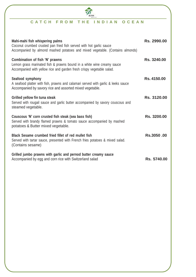# **C A T C H F R O M T H E I N D I A N O C E A N**

| Mahi-mahi fish whispering palms<br>Coconut crumbed crusted pan fried fish served with hot garlic sauce<br>Accompanied by almond mashed potatoes and mixed vegetable. (Contains almonds) | Rs. 2990.00 |
|-----------------------------------------------------------------------------------------------------------------------------------------------------------------------------------------|-------------|
| Combination of fish 'N' prawns<br>Lemon grass marinated fish & prawns bound in a white wine creamy sauce<br>Accompanied with yellow rice and garden fresh crispy vegetable salad.       | Rs. 3240.00 |
| Seafood symphony<br>A seafood platter with fish, prawns and calamari served with garlic & leeks sauce<br>Accompanied by savory rice and assorted mixed vegetable.                       | Rs. 4150.00 |
| Grilled yellow fin tuna steak<br>Served with rougail sauce and garlic butter accompanied by savory couscous and<br>steamed vegetable.                                                   | Rs. 3120.00 |
| Couscous 'N' corn crusted fish steak (sea bass fish)<br>Served with brandy flamed prawns & tomato sauce accompanied by mashed<br>potatoes & Butter mixed vegetable.                     | Rs. 3200.00 |
| Black Sesame crumbed fried fillet of red mullet fish<br>Served with tartar sauce, presented with French fries potatoes & mixed salad.<br>(Contains sesame)                              | Rs.3050.00  |
| Grilled jumbo prawns with garlic and pernod butter creamy sauce<br>Accompanied by egg and corn rice with Switzerland salad                                                              | Rs. 5740.00 |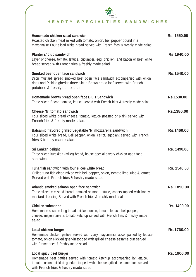

# **FOOT ALTIES SANDWICHES**

| Homemade chicken salad sandwich<br>Roasted chicken meat mixed with tomato, onion, bell pepper bound in a<br>mayonnaise Four sliced white bread served with French fries & freshly made salad                                  | Rs. 1550.00 |
|-------------------------------------------------------------------------------------------------------------------------------------------------------------------------------------------------------------------------------|-------------|
| Planter s' club sandwich<br>Layer of cheese, tomato, lettuce, cucumber, egg, chicken, and bacon or beef white<br>bread served With French fries & freshly made salad                                                          | Rs.1940.00  |
| Smoked beef open face sandwich<br>Dijon mustard spread smoked beef open face sandwich accompanied with onion<br>rings and Pickled gherkin three sliced Brown bread loaf served with French<br>potatoes & freshly made salad.  | Rs.1540.00  |
| Homemade brown bread open face B.L.T Sandwich<br>Three sliced Bacon, tomato, lettuce served with French fries & freshly made salad.                                                                                           | Rs.1530.00  |
| Cheese 'N' tomato sandwich<br>Four sliced white bread cheese, tomato, lettuce (toasted or plain) served with<br>French fries & freshly made salad.                                                                            | Rs.1380.00  |
| Balsamic flavored grilled vegetable 'N' mozzarella sandwich<br>Four sliced white bread, Bell pepper, onion, carrot, eggplant served with French<br>fries & freshly made salad.                                                | Rs.1460.00  |
| Sri Lankan delight<br>Three sliced kurakkan (millet) bread, house special savory chicken open face<br>sandwich.                                                                                                               | Rs. 1490.00 |
| Tuna fish sandwich with four slices white bread<br>Grilled tuna fish diced mixed with bell pepper, onion, tomato lime juice & lettuce<br>Served with French fries & freshly made salad.                                       | Rs. 1540.00 |
| Atlantic smoked salmon open face sandwich<br>Three sliced mix seed bread, smoked salmon, lettuce, capers topped with honey<br>mustard dressing Served with French fries & freshly made salad.                                 | Rs. 1890.00 |
| <b>Chicken submarine</b><br>Homemade sesame long bread chicken, onion, tomato, lettuce, bell pepper,<br>cheese, mayonnaise & tomato ketchup served with French fries & freshly made<br>salad                                  | Rs. 1490.00 |
| Local chicken burger<br>Homemade chicken patties served with curry mayonnaise accompanied by lettuce,<br>tomato, onion Pickled gherkin topped with grilled cheese sesame bun served<br>with French fries & freshly made salad | Rs.1760.00  |
| Local spicy beef burger<br>Homemade beef patties served with tomato ketchup accompanied by lettuce,<br>tomato, onion, pickled gherkin topped with cheese grilled sesame bun served<br>with French fries & freshly made salad  | Rs. 1900.00 |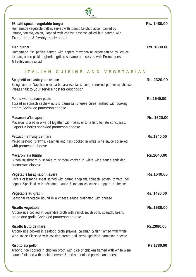| 98 café special vegetable burger<br>Homemade vegetable patties served with tomato ketchup accompanied by<br>lettuce, tomato, onion, Topped with cheese sesame grilled bun served with<br>French fries & freshly made salad | Rs. 1480.00 |
|----------------------------------------------------------------------------------------------------------------------------------------------------------------------------------------------------------------------------|-------------|
| <b>Fish burger</b><br>Homemade fish patties served with capers mayonnaise accompanied by lettuce,<br>tomato, onion pickled gherkin grilled sesame bun served with French fries<br>& freshly made salad                     | Rs. 1880.00 |
| <b>ITALIAN</b><br><b>CUISINE</b><br><b>AND</b><br><b>VEGETARIAN</b>                                                                                                                                                        |             |
| Spaghetti or pasta your choice<br>Bolognaise or Napolitano or carbonara (contains pork) sprinkled parmesan cheese<br>Please talk to your service host for description                                                      | Rs. 2320.00 |
| Penne with spinach pesto<br>Tossed in spinach cashew nuts & parmesan cheese puree finished with cooking<br>cream Sprinkled parmesan cheese                                                                                 | Rs.1540.00  |
| Macaroni a'la sapori<br>Macaroni tossed in olive oil together with flakes of tuna fish, tomato concusses,<br>Capers & herbs sprinkled parmesan cheese                                                                      | Rs. 1620.00 |
| Fettuccine fruity de mare<br>Mixed seafood (prawns, calamari and fish) cooked in white wine sauce sprinkled<br>with parmesan cheese                                                                                        | Rs.1940.00  |
| Macaroni ala funghi<br>Button mushroom & shitake mushroom cooked in white wine sauce sprinkled<br>parmesan cheese                                                                                                          | Rs.1640.00  |
| Vegetable lasagna primavera<br>Layers of lasagna sheet stuffed with carrot, eggplant, spinach, potato, tomato, bell<br>pepper Sprinkled with béchamel sauce & tomato concusses topped in cheese                            | Rs.1640.00  |
| Vegetable au gratin<br>Seasonal vegetable bound in a cheese sauce gratinated with cheese                                                                                                                                   | Rs. 1490.00 |
| <b>Risotto vegetable</b><br>Arborio rice cooked in vegetable broth with carrot, mushroom, spinach, beans,<br>onion and garlic Sprinkled parmesan cheese                                                                    | Rs.1680.00  |
| Risotto frutti de mare<br>Arborio rice cooked in seafood broth prawns, calamari & fish flamed with white<br>wine sauce Finished with cooking cream and herbs sprinkled parmesan cheese                                     | Rs.2060.00  |
| Risotto ala pollo<br>Arborio rice cooked in chicken broth with dice of chicken flamed with white wine<br>sauce Finished with cooking cream & herbs sprinkled parmesan cheese                                               | Rs.1780.00  |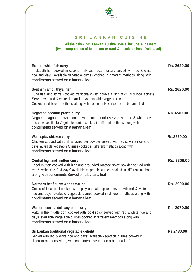

## **S R I L A N K A N C U I S I N E**

**All the below Sri Lankan cuisine Meals include a dessert (two scoop choice of ice cream or curd & treacle or fresh fruit salad)**

| Eastern white fish curry<br>Thalapath fish cooked in coconut milk with local mustard served with red & white<br>rice and days' Available vegetable curries cooked in different methods along with<br>condiments served on a banana leaf                                  | Rs. 2620.00 |
|--------------------------------------------------------------------------------------------------------------------------------------------------------------------------------------------------------------------------------------------------------------------------|-------------|
| Southern ambulthiyal fish<br>Tuna fish ambulthiyal (cooked traditionally with goraka a kind of citrus & local spices)<br>Served with red & white rice and days' available vegetable curries<br>Cooked in different methods along with condiments served on a banana leaf | Rs. 2620.00 |
| Negombo coconut prawn curry<br>Negombo lagoon prawns cooked with coconut milk served with red & white rice<br>and days 'available Vegetable curries cooked in different methods along with<br>condiments served on a banana leaf                                         | Rs.3240.00  |
| West spicy chicken curry<br>Chicken cooked with chilli & coriander powder served with red & white rice and<br>days' available vegetable Curries cooked in different methods along with<br>condiments served on a banana leaf                                             | Rs.2620.00  |
| Central highland mutton curry<br>Local mutton cooked with highland grounded roasted spice powder served with<br>red & white rice And days' available vegetable curries cooked in different methods<br>along with condiments Served on a banana leaf                      | Rs. 3360.00 |
| Northern beef curry with tamarind<br>Cubes of local beef cooked with spicy aromatic spices served with red & white<br>rice and days 'available Vegetable curries cooked in different methods along with<br>condiments served on a banana leaf                            | Rs. 2900.00 |
| Western coastal delicacy pork curry<br>Patty in the middle pork cooked with local spicy served with red & white rice and<br>days' available Vegetable curries cooked in different methods along with<br>condiments served on a banana leaf                               | Rs. 2970.00 |
| Sri Lankan traditional vegetable delight<br>Served with red & white rice and days' available vegetable curries cooked in<br>different methods Along with condiments served on a banana leaf                                                                              | Rs.2480.00  |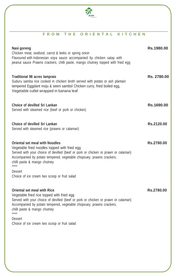

#### **F R O M T H E O R I E N T A L K I T C H E N**

| Nasi goreng<br>Chicken meat, seafood, carrot & leeks or spring onion<br>Flavoured with Indonesian soya sauce accompanied by chicken satay with<br>peanut sauce Prawns crackers, chilli paste, mango chutney topped with fried egg                                                                                                                                | Rs.1980.00  |
|------------------------------------------------------------------------------------------------------------------------------------------------------------------------------------------------------------------------------------------------------------------------------------------------------------------------------------------------------------------|-------------|
| <b>Traditional 98 acres lamprais</b><br>Suduru samba rice cooked in chicken broth served with potato or ash plantain<br>tempered Eggplant moju & seeni sambol Chicken curry, fried boiled egg,<br>Vegetable cutlet wrapped in banana leaf                                                                                                                        | Rs. 2780.00 |
| Choice of devilled Sri Lankan<br>Served with steamed rice (beef or pork or chicken)                                                                                                                                                                                                                                                                              | Rs.1690.00  |
| Choice of devilled Sri Lankan<br>Served with steamed rice (prawns or calamari)                                                                                                                                                                                                                                                                                   | Rs.2120.00  |
| <b>Oriental set meal with Noodles</b><br>Vegetable fried noodles topped with fried egg<br>Served with your choice of devilled (beef or pork or chicken or prawn or calamari)<br>Accompanied by potato tempered, vegetable chopsuey, prawns crackers,<br>chilli paste & mango chutney<br>******<br><b>Dessert</b><br>Choice of ice cream two scoop or fruit salad | Rs.2780.00  |
| <b>Oriental set meal with Rice</b><br>Vegetable fried rice topped with fried egg<br>Served with your choice of devilled (beef or pork or chicken or prawn or calamari)<br>Accompanied by potato tempered, vegetable chopsuey, prawns crackers,<br>chilli paste & mango chutney<br>******<br><b>Dessert</b><br>Choice of ice cream two scoop or fruit salad       | Rs.2780.00  |
|                                                                                                                                                                                                                                                                                                                                                                  |             |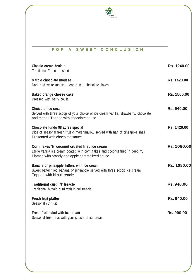

#### **F O R A S W E E T C O N C L U S I O N**

| Classic crème brule e<br><b>Traditional French dessert</b>                                                                                                                         | Rs. 1240.00 |
|------------------------------------------------------------------------------------------------------------------------------------------------------------------------------------|-------------|
| Marble chocolate mousse<br>Dark and white mousse served with chocolate flakes                                                                                                      | Rs. 1420.00 |
| Baked orange cheese cake<br>Dressed with berry coulis                                                                                                                              | Rs. 1500.00 |
| Choice of ice cream<br>Served with three scoop of your choice of ice cream vanilla, strawberry, chocolate<br>and mango Topped with chocolate sauce                                 | Rs. 940.00  |
| Chocolate fundo 98 acres special<br>Dice of seasonal fresh fruit & marshmallow served with half of pineapple shell<br>Presented with chocolate sauce                               | Rs. 1420.00 |
| Corn flakes 'N' coconut crusted fried ice cream<br>Large vanilla ice cream coated with corn flakes and coconut fried in deep fry<br>Flamed with brandy and apple caramelized sauce | Rs. 1080.00 |
| Banana or pineapple fritters with ice cream<br>Sweet batter fried banana or pineapple served with three scoop ice cream<br>Topped with kithul treacle                              | Rs. 1080.00 |
| Traditional curd 'N' treacle<br>Traditional buffalo curd with kithul treacle                                                                                                       | Rs. 940.00  |
| <b>Fresh fruit platter</b><br>Seasonal cut fruit                                                                                                                                   | Rs. 940.00  |
| Fresh fruit salad with ice cream<br>Seasonal fresh fruit with your choice of ice cream                                                                                             | Rs. 990.00  |